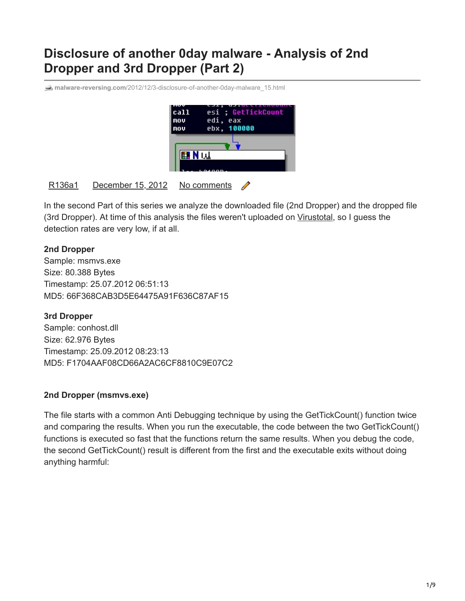# **Disclosure of another 0day malware - Analysis of 2nd Dropper and 3rd Dropper (Part 2)**

**malware-reversing.com**[/2012/12/3-disclosure-of-another-0day-malware\\_15.html](http://www.malware-reversing.com/2012/12/3-disclosure-of-another-0day-malware_15.html)



### [R136a1](https://www.blogger.com/profile/07912616682352437666) [December 15, 2012](https://www.malware-reversing.com/2012/12/3-disclosure-of-another-0day-malware_15.html) No comments

In the second Part of this series we analyze the downloaded file (2nd Dropper) and the dropped file (3rd Dropper). At time of this analysis the files weren't uploaded on [Virustotal](http://www.virustotal.com/), so I guess the detection rates are very low, if at all.

### **2nd Dropper**

Sample: msmvs.exe Size: 80.388 Bytes Timestamp: 25.07.2012 06:51:13 MD5: 66F368CAB3D5E64475A91F636C87AF15

**3rd Dropper**

Sample: conhost.dll Size: 62.976 Bytes Timestamp: 25.09.2012 08:23:13 MD5: F1704AAF08CD66A2AC6CF8810C9E07C2

#### **2nd Dropper (msmvs.exe)**

The file starts with a common Anti Debugging technique by using the GetTickCount() function twice and comparing the results. When you run the executable, the code between the two GetTickCount() functions is executed so fast that the functions return the same results. When you debug the code, the second GetTickCount() result is different from the first and the executable exits without doing anything harmful: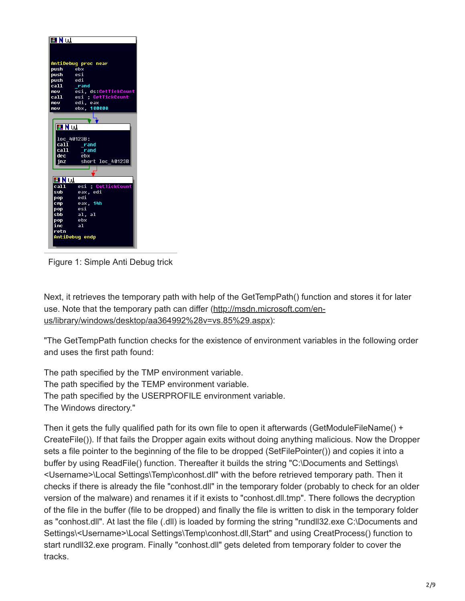| ⊞Nu                     |                              |
|-------------------------|------------------------------|
|                         |                              |
|                         | AntiDebuq proc near          |
| push ebx                |                              |
| <b>push</b> esi         |                              |
| push edi                |                              |
| cal1                    | $r$ and                      |
| mov<br>call             | esi, ds:GetTickCount         |
|                         | esi ; GetTickCount           |
| nov <b>o</b>            | edi, eax                     |
| mov                     | ebx, 100000                  |
|                         |                              |
|                         |                              |
| 国内县                     |                              |
|                         |                              |
|                         | loc 40123B:                  |
|                         | call rand                    |
| dec                     | call rand<br>ebx             |
| inz                     | short loc 40123B             |
|                         |                              |
|                         |                              |
|                         |                              |
| FIN W                   |                              |
| call <b>call</b><br>sub | esi GetTickCount<br>eax, edi |
|                         | edi                          |
| pop<br>cmp              | eax, 14h                     |
| pop                     | esi                          |
| sbb                     | a1, a1                       |
| pop_                    | ebx                          |
| inc.                    | <b>a</b> 1                   |
| retn                    |                              |
|                         | AntiDebuq endp               |
|                         |                              |
|                         |                              |

Figure 1: Simple Anti Debug trick

Next, it retrieves the temporary path with help of the GetTempPath() function and stores it for later [use. Note that the temporary path can differ \(http://msdn.microsoft.com/en](http://msdn.microsoft.com/en-us/library/windows/desktop/aa364992%28v=vs.85%29.aspx)us/library/windows/desktop/aa364992%28v=vs.85%29.aspx):

"The GetTempPath function checks for the existence of environment variables in the following order and uses the first path found:

The path specified by the TMP environment variable. The path specified by the TEMP environment variable. The path specified by the USERPROFILE environment variable. The Windows directory."

Then it gets the fully qualified path for its own file to open it afterwards (GetModuleFileName() + CreateFile()). If that fails the Dropper again exits without doing anything malicious. Now the Dropper sets a file pointer to the beginning of the file to be dropped (SetFilePointer()) and copies it into a buffer by using ReadFile() function. Thereafter it builds the string "C:\Documents and Settings\ <Username>\Local Settings\Temp\conhost.dll" with the before retrieved temporary path. Then it checks if there is already the file "conhost.dll" in the temporary folder (probably to check for an older version of the malware) and renames it if it exists to "conhost.dll.tmp". There follows the decryption of the file in the buffer (file to be dropped) and finally the file is written to disk in the temporary folder as "conhost.dll". At last the file (.dll) is loaded by forming the string "rundll32.exe C:\Documents and Settings\<Username>\Local Settings\Temp\conhost.dll,Start" and using CreatProcess() function to start rundll32.exe program. Finally "conhost.dll" gets deleted from temporary folder to cover the tracks.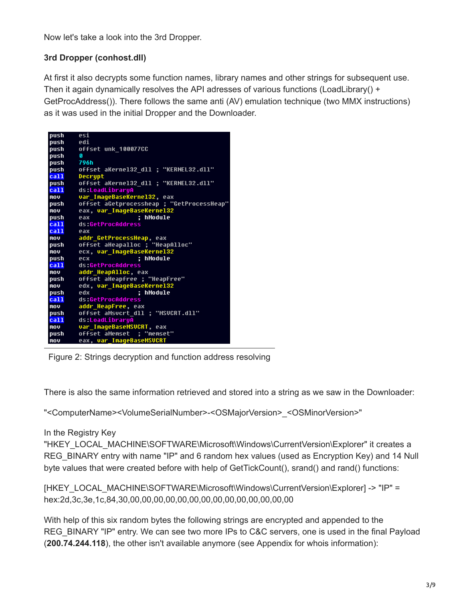Now let's take a look into the 3rd Dropper.

## **3rd Dropper (conhost.dll)**

At first it also decrypts some function names, library names and other strings for subsequent use. Then it again dynamically resolves the API adresses of various functions (LoadLibrary() + GetProcAddress()). There follows the same anti (AV) emulation technique (two MMX instructions) as it was used in the initial Dropper and the Downloader.

| push           | esi                                       |
|----------------|-------------------------------------------|
| push           | <b>i</b> be                               |
| push           | offset unk 100077CC                       |
| push           | ø                                         |
| push 796h      |                                           |
| push           | offset aKernel32 dll ; "KERNEL32.dll"     |
| cal1           | Decrupt                                   |
| push           | offset aKerne132 dll : "KERNEL32.dll"     |
| ca11           | ds:LoadLibraryA                           |
| mov            | var ImaqeBaseKerne132, eax                |
| push           | offset aGetprocessheap ; "GetProcessHeap" |
| mo v           | eax, var_ImageBaseKerne132                |
| push           | hModule<br>eax                            |
| ca11           | ds:GetProcAddress                         |
| ca11           | eax                                       |
| $\blacksquare$ | addr_GetProcessHeap, eax                  |
| push           | offset aHeapalloc ; "HeapAlloc"           |
| mov            | ecx, var ImageBaseKerne132                |
| push           | : hModule<br><b>PCX</b>                   |
| ca11           | ds:GetProcAddress                         |
| mnu            | addr HeapAlloc, eax                       |
| push           | offset aHeapfree ; "HeapFree"             |
| mov            | edx, var ImageBaseKernel32                |
| push           | : hModule<br>xhq                          |
| ca11           | ds:GetProcAddress                         |
| mov            | addr HeapFree, eax                        |
| oush –         | offset aMsvcrt dll ; "MSUCRT.dll"         |
| call and       | ds:LoadLibraruA                           |
| mov            | var ImageBaseMSVCRT, eax                  |
| push           | offset aMemset ; "memset"                 |
| mov            | eax, var ImageBaseMSVCRT                  |

Figure 2: Strings decryption and function address resolving

There is also the same information retrieved and stored into a string as we saw in the Downloader:

"<ComputerName><VolumeSerialNumber>-<OSMajorVersion>\_<OSMinorVersion>"

## In the Registry Key

"HKEY\_LOCAL\_MACHINE\SOFTWARE\Microsoft\Windows\CurrentVersion\Explorer" it creates a REG BINARY entry with name "IP" and 6 random hex values (used as Encryption Key) and 14 Null byte values that were created before with help of GetTickCount(), srand() and rand() functions:

[HKEY\_LOCAL\_MACHINE\SOFTWARE\Microsoft\Windows\CurrentVersion\Explorer] -> "IP" = hex:2d,3c,3e,1c,84,30,00,00,00,00,00,00,00,00,00,00,00,00,00,00

With help of this six random bytes the following strings are encrypted and appended to the REG BINARY "IP" entry. We can see two more IPs to C&C servers, one is used in the final Payload (**200.74.244.118**), the other isn't available anymore (see Appendix for whois information):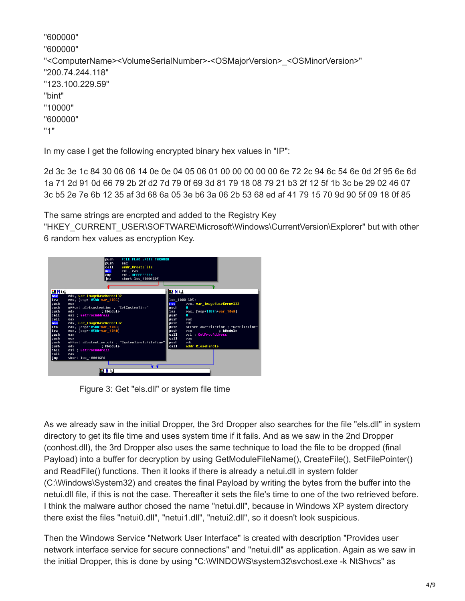```
"600000"
"600000"
"<ComputerName><VolumeSerialNumber>-<OSMajorVersion>_<OSMinorVersion>"
"200.74.244.118"
"123.100.229.59"
"bint"
"10000"
"600000"
"1"
```
In my case I get the following encrypted binary hex values in "IP":

2d 3c 3e 1c 84 30 06 06 14 0e 0e 04 05 06 01 00 00 00 00 00 6e 72 2c 94 6c 54 6e 0d 2f 95 6e 6d 1a 71 2d 91 0d 66 79 2b 2f d2 7d 79 0f 69 3d 81 79 18 08 79 21 b3 2f 12 5f 1b 3c be 29 02 46 07 3c b5 2e 7e 6b 12 35 af 3d 68 6a 05 3e b6 3a 06 2b 53 68 ed af 41 79 15 70 9d 90 5f 09 18 0f 85

The same strings are encrpted and added to the Registry Key

"HKEY\_CURRENT\_USER\SOFTWARE\Microsoft\Windows\CurrentVersion\Explorer" but with other 6 random hex values as encryption Key.



Figure 3: Get "els.dll" or system file time

As we already saw in the initial Dropper, the 3rd Dropper also searches for the file "els.dll" in system directory to get its file time and uses system time if it fails. And as we saw in the 2nd Dropper (conhost.dll), the 3rd Dropper also uses the same technique to load the file to be dropped (final Payload) into a buffer for decryption by using GetModuleFileName(), CreateFile(), SetFilePointer() and ReadFile() functions. Then it looks if there is already a netui.dll in system folder (C:\Windows\System32) and creates the final Payload by writing the bytes from the buffer into the netui.dll file, if this is not the case. Thereafter it sets the file's time to one of the two retrieved before. I think the malware author chosed the name "netui.dll", because in Windows XP system directory there exist the files "netui0.dll", "netui1.dll", "netui2.dll", so it doesn't look suspicious.

Then the Windows Service "Network User Interface" is created with description "Provides user network interface service for secure connections" and "netui.dll" as application. Again as we saw in the initial Dropper, this is done by using "C:\WINDOWS\system32\svchost.exe -k NtShvcs" as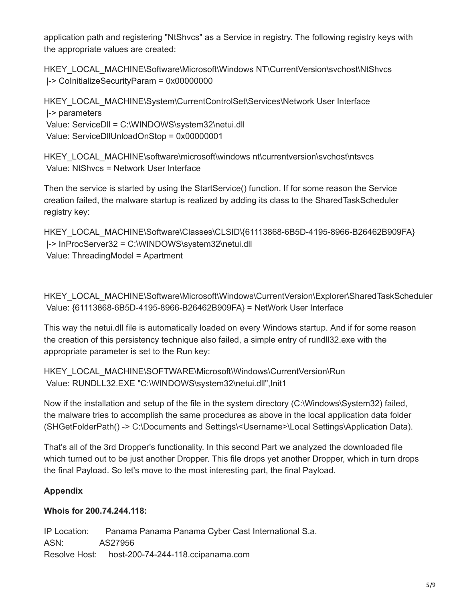application path and registering "NtShvcs" as a Service in registry. The following registry keys with the appropriate values are created:

HKEY\_LOCAL\_MACHINE\Software\Microsoft\Windows NT\CurrentVersion\svchost\NtShvcs |-> CoInitializeSecurityParam = 0x00000000

HKEY\_LOCAL\_MACHINE\System\CurrentControlSet\Services\Network User Interface |-> parameters Value: ServiceDll = C:\WINDOWS\system32\netui.dll Value: ServiceDllUnloadOnStop = 0x00000001

HKEY\_LOCAL\_MACHINE\software\microsoft\windows nt\currentversion\svchost\ntsvcs Value: NtShvcs = Network User Interface

Then the service is started by using the StartService() function. If for some reason the Service creation failed, the malware startup is realized by adding its class to the SharedTaskScheduler registry key:

```
HKEY_LOCAL_MACHINE\Software\Classes\CLSID\{61113868-6B5D-4195-8966-B26462B909FA}
 |-> InProcServer32 = C:\WINDOWS\system32\netui.dll
 Value: ThreadingModel = Apartment
```
HKEY\_LOCAL\_MACHINE\Software\Microsoft\Windows\CurrentVersion\Explorer\SharedTaskScheduler Value: {61113868-6B5D-4195-8966-B26462B909FA} = NetWork User Interface

This way the netui.dll file is automatically loaded on every Windows startup. And if for some reason the creation of this persistency technique also failed, a simple entry of rundll32.exe with the appropriate parameter is set to the Run key:

HKEY\_LOCAL\_MACHINE\SOFTWARE\Microsoft\Windows\CurrentVersion\Run Value: RUNDLL32.EXE "C:\WINDOWS\system32\netui.dll",Init1

Now if the installation and setup of the file in the system directory (C:\Windows\System32) failed, the malware tries to accomplish the same procedures as above in the local application data folder (SHGetFolderPath() -> C:\Documents and Settings\<Username>\Local Settings\Application Data).

That's all of the 3rd Dropper's functionality. In this second Part we analyzed the downloaded file which turned out to be just another Dropper. This file drops yet another Dropper, which in turn drops the final Payload. So let's move to the most interesting part, the final Payload.

## **Appendix**

## **Whois for 200.74.244.118:**

IP Location: Panama Panama Panama Cyber Cast International S.a. ASN: AS27956 Resolve Host: host-200-74-244-118.ccipanama.com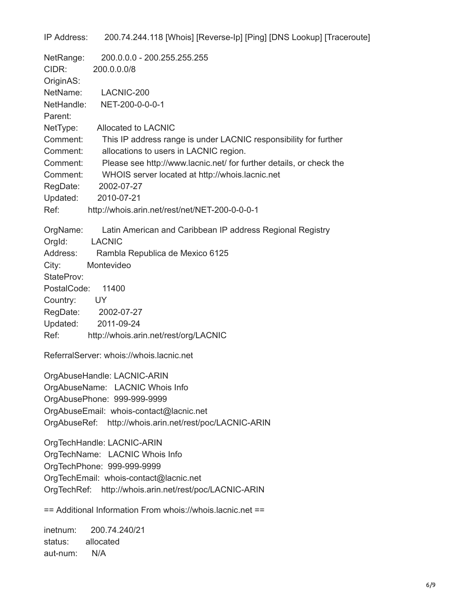IP Address: 200.74.244.118 [Whois] [Reverse-Ip] [Ping] [DNS Lookup] [Traceroute] NetRange: 200.0.0.0 - 200.255.255.255 CIDR: 200.0.0.0/8 OriginAS: NetName: LACNIC-200 NetHandle: NET-200-0-0-0-1 Parent: NetType: Allocated to LACNIC Comment: This IP address range is under LACNIC responsibility for further Comment: allocations to users in LACNIC region. Comment: Please see http://www.lacnic.net/ for further details, or check the Comment: WHOIS server located at http://whois.lacnic.net RegDate: 2002-07-27 Updated: 2010-07-21 Ref: http://whois.arin.net/rest/net/NET-200-0-0-0-1 OrgName: Latin American and Caribbean IP address Regional Registry OrgId: LACNIC Address: Rambla Republica de Mexico 6125 City: Montevideo StateProv: PostalCode: 11400 Country: UY RegDate: 2002-07-27 Updated: 2011-09-24 Ref: http://whois.arin.net/rest/org/LACNIC ReferralServer: whois://whois.lacnic.net OrgAbuseHandle: LACNIC-ARIN OrgAbuseName: LACNIC Whois Info OrgAbusePhone: 999-999-9999 OrgAbuseEmail: whois-contact@lacnic.net OrgAbuseRef: http://whois.arin.net/rest/poc/LACNIC-ARIN OrgTechHandle: LACNIC-ARIN OrgTechName: LACNIC Whois Info OrgTechPhone: 999-999-9999 OrgTechEmail: whois-contact@lacnic.net OrgTechRef: http://whois.arin.net/rest/poc/LACNIC-ARIN == Additional Information From whois://whois.lacnic.net ==

inetnum: 200.74.240/21 status: allocated aut-num: N/A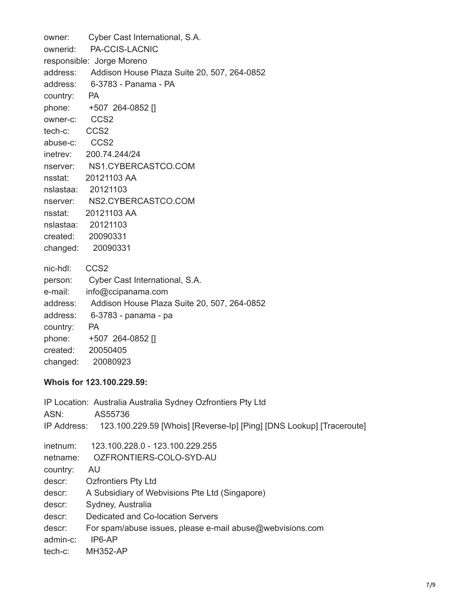owner: Cyber Cast International, S.A. ownerid: PA-CCIS-LACNIC responsible: Jorge Moreno address: Addison House Plaza Suite 20, 507, 264-0852 address: 6-3783 - Panama - PA country: PA phone: +507 264-0852 [] owner-c: CCS2 tech-c: CCS2 abuse-c: CCS2 inetrev: 200.74.244/24 nserver: NS1.CYBERCASTCO.COM nsstat: 20121103 AA nslastaa: 20121103 nserver: NS2.CYBERCASTCO.COM nsstat: 20121103 AA nslastaa: 20121103 created: 20090331 changed: 20090331 nic-hdl: CCS2 person: Cyber Cast International, S.A. e-mail: info@ccipanama.com address: Addison House Plaza Suite 20, 507, 264-0852 address: 6-3783 - panama - pa country: PA phone: +507 264-0852 [] created: 20050405 changed: 20080923

#### **Whois for 123.100.229.59:**

| ASN:     | IP Location: Australia Australia Sydney Ozfrontiers Pty Ltd<br>AS55736           |
|----------|----------------------------------------------------------------------------------|
|          |                                                                                  |
|          | IP Address: 123.100.229.59 [Whois] [Reverse-Ip] [Ping] [DNS Lookup] [Traceroute] |
| inetnum: | 123.100.228.0 - 123.100.229.255                                                  |
| netname: | OZFRONTIERS-COLO-SYD-AU                                                          |
| country: | AU.                                                                              |
| descr:   | <b>Ozfrontiers Pty Ltd</b>                                                       |
| descr:   | A Subsidiary of Webvisions Pte Ltd (Singapore)                                   |
| descr:   | Sydney, Australia                                                                |
| descr:   | Dedicated and Co-location Servers                                                |
| descr:   | For spam/abuse issues, please e-mail abuse@webvisions.com                        |
| admin-c: | IP6-AP                                                                           |
| tech-c:  | <b>MH352-AP</b>                                                                  |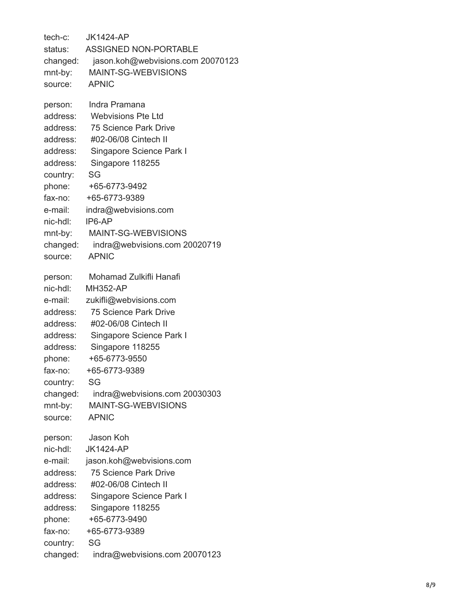tech-c: JK1424-AP status: ASSIGNED NON-POR TABLE changed: jason.koh@webvisions.com 20070123 mnt-by: MAINT-SG-WEBVISIONS source: APNIC person: Indra Pramana address: Webvisions Pte Ltd address: 75 Science Park Drive address: #02-06/08 Cintech II address: Singapore Science Park I address: Singapore 118255 country: SG phone: +65-6773-9492 fax-no: +65-6773-9389 e-mail: indra@webvisions.com nic-hdl: IP6-AP mnt-by: MAINT-SG-WEBVISIONS changed: indra@webvisions.com 20020719 source: APNIC person: Mohamad Zulkifli Hanafi nic-hdl: MH352-AP e-mail: zukifli@webvisions.com address: 75 Science Park Drive address: #02-06/08 Cintech II address: Singapore Science Park I address: Singapore 118255 phone: +65-6773-9550 fax-no: +65-6773-9389 country: SG changed: indra@webvisions.com 20030303 mnt-by: MAINT-SG-WEBVISIONS source: APNIC person: Jason Koh nic-hdl: JK1424-AP e-mail: jason.koh@webvisions.com address: 75 Science Park Drive address: #02-06/08 Cintech II address: Singapore Science Park I address: Singapore 118255 phone: +65-6773-9490 fax-no: +65-6773-9389 country: SG changed: indra@webvisions.com 20070123